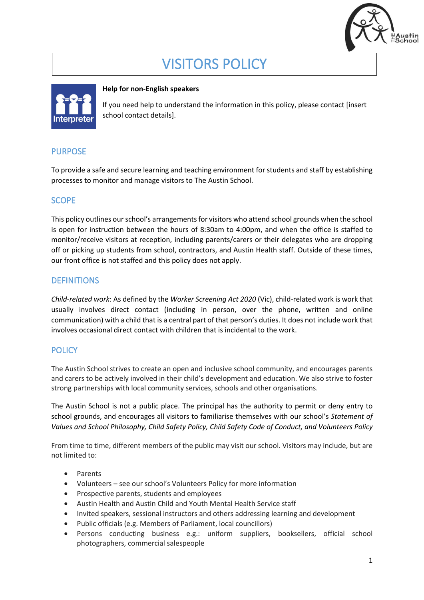

# VISITORS POLICY



#### **Help for non-English speakers**

If you need help to understand the information in this policy, please contact [insert school contact details].

## PURPOSE

To provide a safe and secure learning and teaching environment for students and staff by establishing processes to monitor and manage visitors to The Austin School.

## SCOPE

This policy outlines our school's arrangements for visitors who attend school grounds when the school is open for instruction between the hours of 8:30am to 4:00pm, and when the office is staffed to monitor/receive visitors at reception, including parents/carers or their delegates who are dropping off or picking up students from school, contractors, and Austin Health staff. Outside of these times, our front office is not staffed and this policy does not apply.

## **DEFINITIONS**

*Child-related work*: As defined by the *Worker Screening Act 2020* (Vic), child-related work is work that usually involves direct contact (including in person, over the phone, written and online communication) with a child that is a central part of that person's duties. It does not include work that involves occasional direct contact with children that is incidental to the work.

## **POLICY**

The Austin School strives to create an open and inclusive school community, and encourages parents and carers to be actively involved in their child's development and education. We also strive to foster strong partnerships with local community services, schools and other organisations.

The Austin School is not a public place. The principal has the authority to permit or deny entry to school grounds, and encourages all visitors to familiarise themselves with our school's *Statement of Values and School Philosophy, Child Safety Policy, Child Safety Code of Conduct, and Volunteers Policy*

From time to time, different members of the public may visit our school. Visitors may include, but are not limited to:

- Parents
- Volunteers see our school's Volunteers Policy for more information
- Prospective parents, students and employees
- Austin Health and Austin Child and Youth Mental Health Service staff
- Invited speakers, sessional instructors and others addressing learning and development
- Public officials (e.g. Members of Parliament, local councillors)
- Persons conducting business e.g.: uniform suppliers, booksellers, official school photographers, commercial salespeople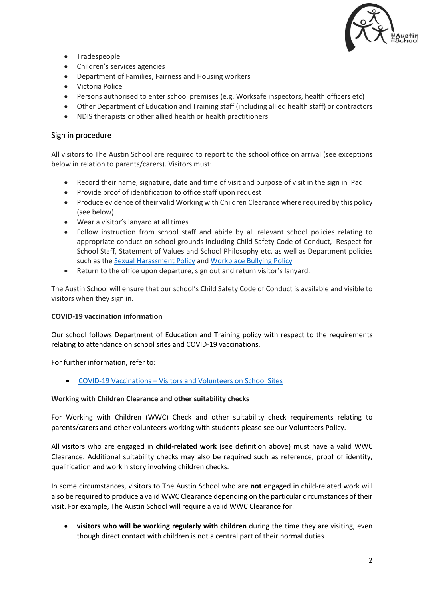

- Tradespeople
- Children's services agencies
- Department of Families, Fairness and Housing workers
- Victoria Police
- Persons authorised to enter school premises (e.g. Worksafe inspectors, health officers etc)
- Other Department of Education and Training staff (including allied health staff) or contractors
- NDIS therapists or other allied health or health practitioners

#### Sign in procedure

All visitors to The Austin School are required to report to the school office on arrival (see exceptions below in relation to parents/carers). Visitors must:

- Record their name, signature, date and time of visit and purpose of visit in the sign in iPad
- Provide proof of identification to office staff upon request
- Produce evidence of their valid Working with Children Clearance where required by this policy (see below)
- Wear a visitor's lanyard at all times
- Follow instruction from school staff and abide by all relevant school policies relating to appropriate conduct on school grounds including Child Safety Code of Conduct, Respect for School Staff, Statement of Values and School Philosophy etc. as well as Department policies such as th[e Sexual Harassment Policy](https://www2.education.vic.gov.au/pal/sexual-harassment/overview) and [Workplace Bullying Policy](https://www2.education.vic.gov.au/pal/workplace-bullying/policy)
- Return to the office upon departure, sign out and return visitor's lanyard.

The Austin School will ensure that our school's Child Safety Code of Conduct is available and visible to visitors when they sign in.

#### **COVID-19 vaccination information**

Our school follows Department of Education and Training policy with respect to the requirements relating to attendance on school sites and COVID-19 vaccinations.

For further information, refer to:

• COVID-19 Vaccinations – [Visitors and Volunteers on School Sites](https://www2.education.vic.gov.au/pal/covid-19-vaccinations-visitors-volunteers/policy)

#### **Working with Children Clearance and other suitability checks**

For Working with Children (WWC) Check and other suitability check requirements relating to parents/carers and other volunteers working with students please see our Volunteers Policy.

All visitors who are engaged in **child-related work** (see definition above) must have a valid WWC Clearance. Additional suitability checks may also be required such as reference, proof of identity, qualification and work history involving children checks.

In some circumstances, visitors to The Austin School who are **not** engaged in child-related work will also be required to produce a valid WWC Clearance depending on the particular circumstances of their visit. For example, The Austin School will require a valid WWC Clearance for:

• **visitors who will be working regularly with children** during the time they are visiting, even though direct contact with children is not a central part of their normal duties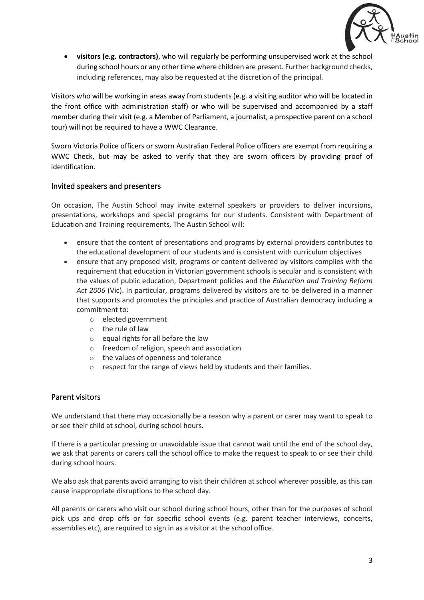

• **visitors (e.g. contractors)**, who will regularly be performing unsupervised work at the school during school hours or any other time where children are present. Further background checks, including references, may also be requested at the discretion of the principal.

Visitors who will be working in areas away from students (e.g. a visiting auditor who will be located in the front office with administration staff) or who will be supervised and accompanied by a staff member during their visit (e.g. a Member of Parliament, a journalist, a prospective parent on a school tour) will not be required to have a WWC Clearance.

Sworn Victoria Police officers or sworn Australian Federal Police officers are exempt from requiring a WWC Check, but may be asked to verify that they are sworn officers by providing proof of identification.

#### Invited speakers and presenters

On occasion, The Austin School may invite external speakers or providers to deliver incursions, presentations, workshops and special programs for our students. Consistent with Department of Education and Training requirements, The Austin School will:

- ensure that the content of presentations and programs by external providers contributes to the educational development of our students and is consistent with curriculum objectives
- ensure that any proposed visit, programs or content delivered by visitors complies with the requirement that education in Victorian government schools is secular and is consistent with the values of public education, Department policies and the *Education and Training Reform Act 2006* (Vic). In particular, programs delivered by visitors are to be delivered in a manner that supports and promotes the principles and practice of Australian democracy including a commitment to:
	- o elected government
	- o the rule of law
	- o equal rights for all before the law
	- o freedom of religion, speech and association
	- o the values of openness and tolerance
	- respect for the range of views held by students and their families.

#### Parent visitors

We understand that there may occasionally be a reason why a parent or carer may want to speak to or see their child at school, during school hours.

If there is a particular pressing or unavoidable issue that cannot wait until the end of the school day, we ask that parents or carers call the school office to make the request to speak to or see their child during school hours.

We also ask that parents avoid arranging to visit their children at school wherever possible, as this can cause inappropriate disruptions to the school day.

All parents or carers who visit our school during school hours, other than for the purposes of school pick ups and drop offs or for specific school events (e.g. parent teacher interviews, concerts, assemblies etc), are required to sign in as a visitor at the school office.